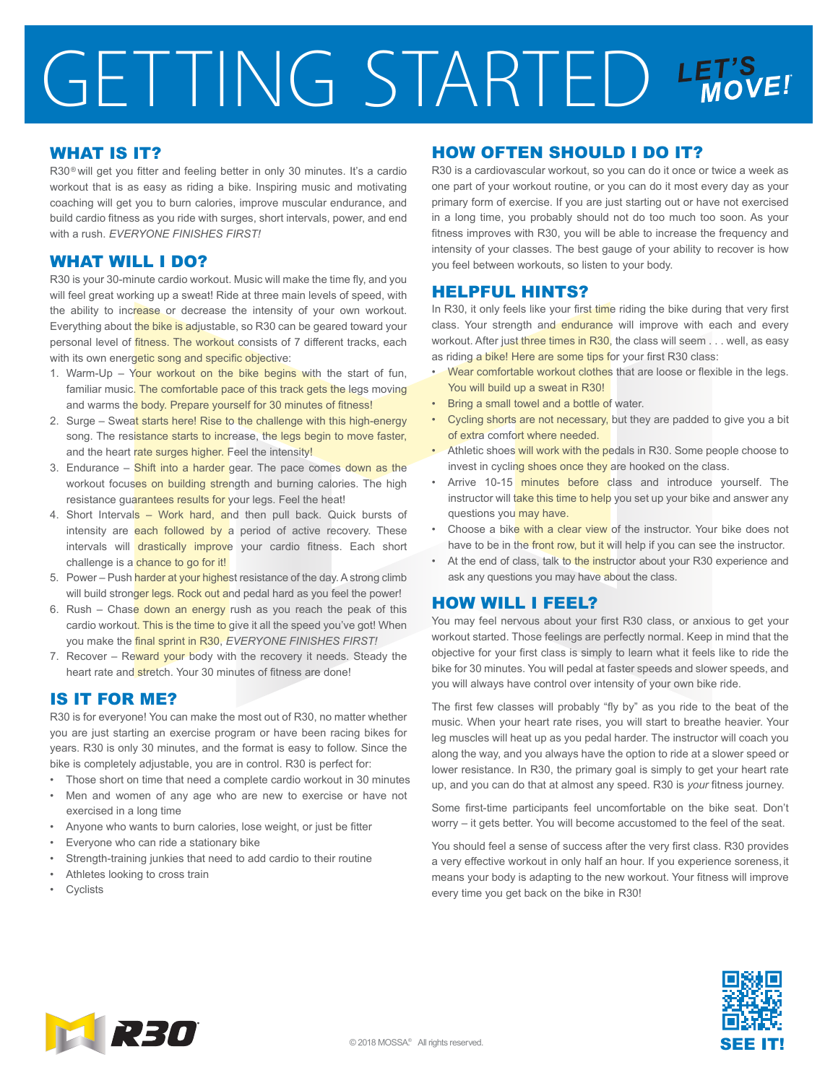# GETTING STARTED LET'S

#### WHAT IS IT?

R30<sup>®</sup> will get you fitter and feeling better in only 30 minutes. It's a cardio workout that is as easy as riding a bike. Inspiring music and motivating coaching will get you to burn calories, improve muscular endurance, and build cardio fitness as you ride with surges, short intervals, power, and end with a rush. *EVERYONE FINISHES FIRST!*

### WHAT WILL I DO?

R30 is your 30-minute cardio workout. Music will make the time fly, and you will feel great working up a sweat! Ride at three main levels of speed, with the ability to increase or decrease the intensity of your own workout. Everything about the bike is adjustable, so R30 can be geared toward your personal level of fitness. The workout consists of 7 different tracks, each with its own energetic song and specific objective:

- 1. Warm-Up Your workout on the bike begins with the start of fun, familiar music. The comfortable pace of this track gets the legs moving and warms the body. Prepare yourself for 30 minutes of fitness!
- 2. Surge Sweat starts here! Rise to the challenge with this high-energy song. The resistance starts to increase, the legs begin to move faster, and the heart rate surges higher. Feel the intensity!
- 3. Endurance Shift into a harder gear. The pace comes down as the workout focuses on building strength and burning calories. The high resistance guarantees results for your legs. Feel the heat!
- 4. Short Intervals Work hard, and then pull back. Quick bursts of intensity are each followed by a period of active recovery. These intervals will drastically improve your cardio fitness. Each short challenge is a chance to go for it!
- 5. Power Push harder at your highest resistance of the day. A strong climb will build stronger legs. Rock out and pedal hard as you feel the power!
- 6. Rush Chase down an energy rush as you reach the peak of this cardio workout. This is the time to give it all the speed you've got! When you make the final sprint in R30, *EVERYONE FINISHES FIRST!*
- 7. Recover Reward your body with the recovery it needs. Steady the heart rate and stretch. Your 30 minutes of fitness are done!

# IS IT FOR ME?

R30 is for everyone! You can make the most out of R30, no matter whether you are just starting an exercise program or have been racing bikes for years. R30 is only 30 minutes, and the format is easy to follow. Since the bike is completely adjustable, you are in control. R30 is perfect for:

- Those short on time that need a complete cardio workout in 30 minutes
- Men and women of any age who are new to exercise or have not exercised in a long time
- Anyone who wants to burn calories, lose weight, or just be fitter
- Everyone who can ride a stationary bike
- Strength-training junkies that need to add cardio to their routine
- Athletes looking to cross train
- **Cyclists**

## HOW OFTEN SHOULD I DO IT?

R30 is a cardiovascular workout, so you can do it once or twice a week as one part of your workout routine, or you can do it most every day as your primary form of exercise. If you are just starting out or have not exercised in a long time, you probably should not do too much too soon. As your fitness improves with R30, you will be able to increase the frequency and intensity of your classes. The best gauge of your ability to recover is how you feel between workouts, so listen to your body.

#### HELPFUL HINTS?

In R30, it only feels like your first time riding the bike during that very first class. Your strength and endurance will improve with each and every workout. After just three times in R30, the class will seem . . . well, as easy as riding a bike! Here are some tips for your first R30 class:

- Wear comfortable workout clothes that are loose or flexible in the legs. You will build up a sweat in R30!
- Bring a small towel and a bottle of water.
- Cycling shorts are not necessary, but they are padded to give you a bit of extra comfort where needed.
- Athletic shoes will work with the pedals in R30. Some people choose to invest in cycling shoes once they are hooked on the class.
- Arrive 10-15 minutes before class and introduce yourself. The instructor will take this time to help you set up your bike and answer any questions you may have.
- Choose a bike with a clear view of the instructor. Your bike does not have to be in the front row, but it will help if you can see the instructor.
- At the end of class, talk to the instructor about your R30 experience and ask any questions you may have about the class.

#### HOW WILL I FEEL?

You may feel nervous about your first R30 class, or anxious to get your workout started. Those feelings are perfectly normal. Keep in mind that the objective for your first class is simply to learn what it feels like to ride the bike for 30 minutes. You will pedal at faster speeds and slower speeds, and you will always have control over intensity of your own bike ride.

The first few classes will probably "fly by" as you ride to the beat of the music. When your heart rate rises, you will start to breathe heavier. Your leg muscles will heat up as you pedal harder. The instructor will coach you along the way, and you always have the option to ride at a slower speed or lower resistance. In R30, the primary goal is simply to get your heart rate up, and you can do that at almost any speed. R30 is *your* fitness journey.

Some first-time participants feel uncomfortable on the bike seat. Don't worry – it gets better. You will become accustomed to the feel of the seat.

You should feel a sense of success after the very first class. R30 provides a very effective workout in only half an hour. If you experience soreness,it means your body is adapting to the new workout. Your fitness will improve every time you get back on the bike in R30!